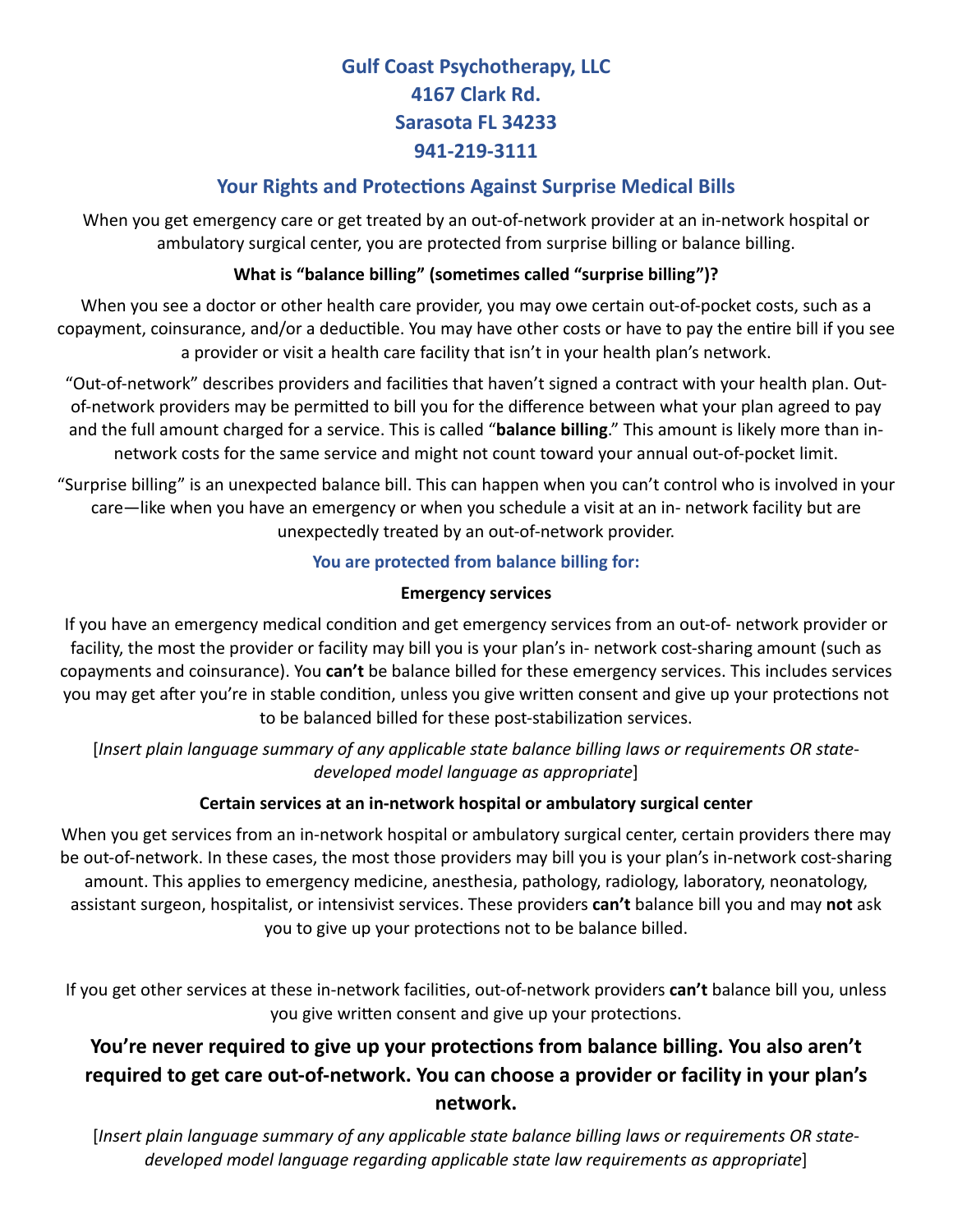# **Gulf Coast Psychotherapy, LLC 4167 Clark Rd. Sarasota FL 34233 941-219-3111**

## **Your Rights and Protections Against Surprise Medical Bills**

When you get emergency care or get treated by an out-of-network provider at an in-network hospital or ambulatory surgical center, you are protected from surprise billing or balance billing.

### **What is "balance billing" (sometimes called "surprise billing")?**

When you see a doctor or other health care provider, you may owe certain out-of-pocket costs, such as a copayment, coinsurance, and/or a deductible. You may have other costs or have to pay the entire bill if you see a provider or visit a health care facility that isn't in your health plan's network.

"Out-of-network" describes providers and facilities that haven't signed a contract with your health plan. Outof-network providers may be permitted to bill you for the difference between what your plan agreed to pay and the full amount charged for a service. This is called "**balance billing**." This amount is likely more than innetwork costs for the same service and might not count toward your annual out-of-pocket limit.

"Surprise billing" is an unexpected balance bill. This can happen when you can't control who is involved in your care—like when you have an emergency or when you schedule a visit at an in- network facility but are unexpectedly treated by an out-of-network provider.

#### **You are protected from balance billing for:**

#### **Emergency services**

If you have an emergency medical condition and get emergency services from an out-of- network provider or facility, the most the provider or facility may bill you is your plan's in- network cost-sharing amount (such as copayments and coinsurance). You **can't** be balance billed for these emergency services. This includes services you may get after you're in stable condition, unless you give written consent and give up your protections not to be balanced billed for these post-stabilization services.

[*Insert plain language summary of any applicable state balance billing laws or requirements OR statedeveloped model language as appropriate*]

#### **Certain services at an in-network hospital or ambulatory surgical center**

When you get services from an in-network hospital or ambulatory surgical center, certain providers there may be out-of-network. In these cases, the most those providers may bill you is your plan's in-network cost-sharing amount. This applies to emergency medicine, anesthesia, pathology, radiology, laboratory, neonatology, assistant surgeon, hospitalist, or intensivist services. These providers **can't** balance bill you and may **not** ask you to give up your protections not to be balance billed.

If you get other services at these in-network facilities, out-of-network providers **can't** balance bill you, unless you give written consent and give up your protections.

# **You're never required to give up your protections from balance billing. You also aren't required to get care out-of-network. You can choose a provider or facility in your plan's network.**

[*Insert plain language summary of any applicable state balance billing laws or requirements OR statedeveloped model language regarding applicable state law requirements as appropriate*]